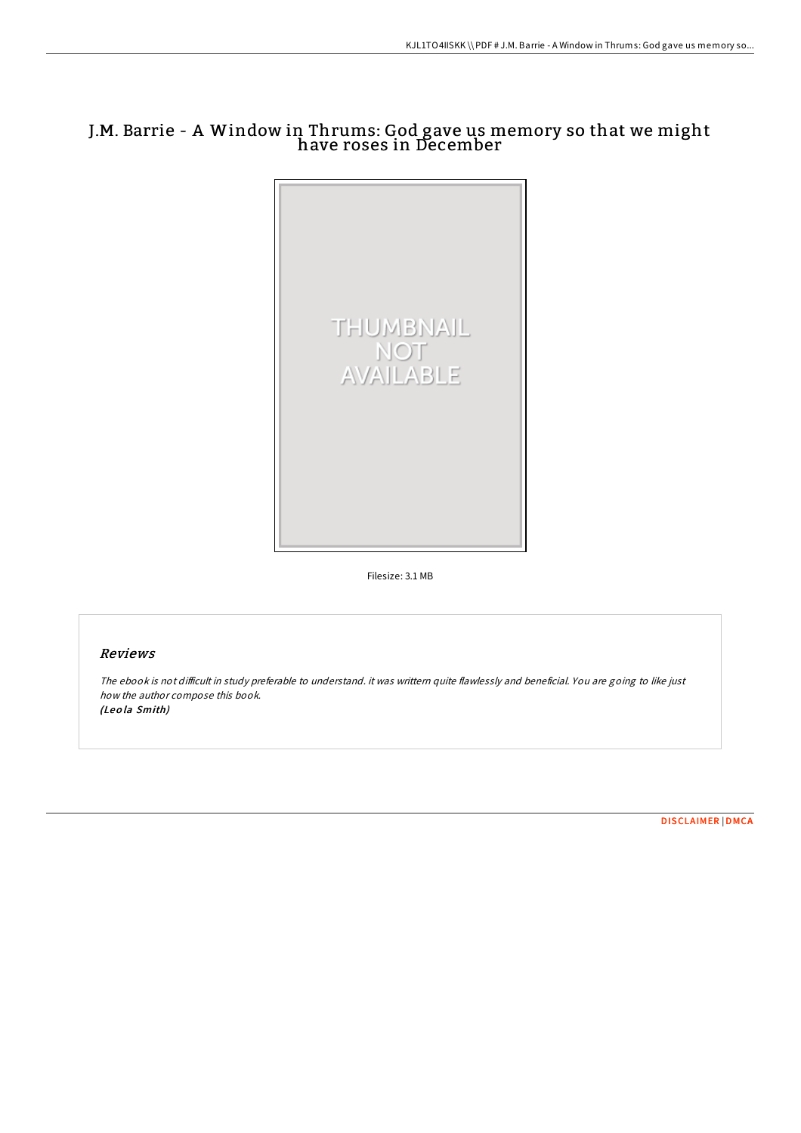## J.M. Barrie - A Window in Thrums: God gave us memory so that we might have roses in December



Filesize: 3.1 MB

## Reviews

The ebook is not difficult in study preferable to understand. it was writtern quite flawlessly and beneficial. You are going to like just how the author compose this book. (Leo la Smith)

[DISCLAIMER](http://almighty24.tech/disclaimer.html) | [DMCA](http://almighty24.tech/dmca.html)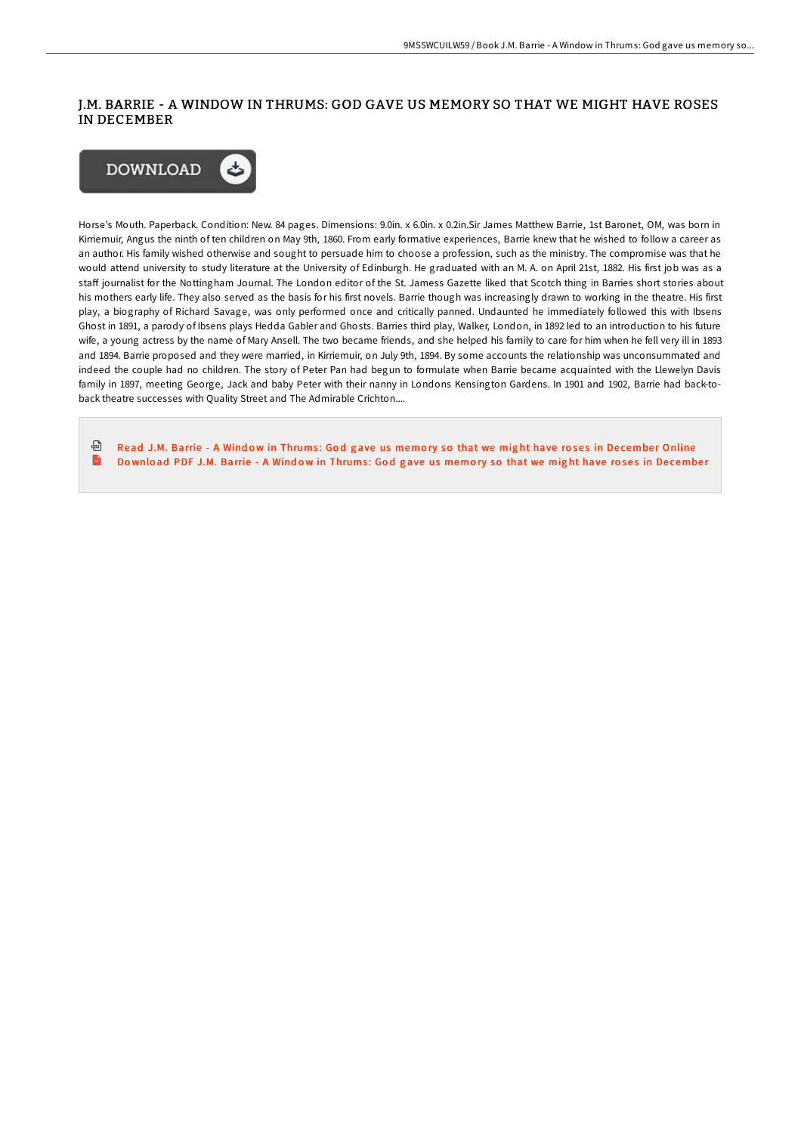## J.M. BARRIE - A WINDOW IN THRUMS: GOD GAVE US MEMORY SO THAT WE MIGHT HAVE ROSES IN DECEMBER



Horse's Mouth. Paperback. Condition: New. 84 pages. Dimensions: 9.0in. x 6.0in. x 0.2in.Sir James Matthew Barrie, 1st Baronet, OM, was born in Kirriemuir, Angus the ninth of ten children on May 9th, 1860. From early formative experiences, Barrie knew that he wished to follow a career as an author. His family wished otherwise and sought to persuade him to choose a profession, such as the ministry. The compromise was that he would attend university to study literature at the University of Edinburgh. He graduated with an M. A. on April 21st, 1882. His first job was as a staff journalist for the Nottingham Journal. The London editor of the St. Jamess Gazette liked that Scotch thing in Barries short stories about his mothers early life. They also served as the basis for his first novels. Barrie though was increasingly drawn to working in the theatre. His first play, a biography of Richard Savage, was only performed once and critically panned. Undaunted he immediately followed this with Ibsens Ghost in 1891, a parody of Ibsens plays Hedda Gabler and Ghosts. Barries third play, Walker, London, in 1892 led to an introduction to his future wife, a young actress by the name of Mary Ansell. The two became friends, and she helped his family to care for him when he fell very ill in 1893 and 1894. Barrie proposed and they were married, in Kirriemuir, on July 9th, 1894. By some accounts the relationship was unconsummated and indeed the couple had no children. The story of Peter Pan had begun to formulate when Barrie became acquainted with the Llewelyn Davis family in 1897, meeting George, Jack and baby Peter with their nanny in Londons Kensington Gardens. In 1901 and 1902, Barrie had back-toback theatre successes with Quality Street and The Admirable Crichton....

⊕ Read J.M. Barrie - A Window in [Thrums](http://almighty24.tech/j-m-barrie-a-window-in-thrums-god-gave-us-memory.html): God gave us memory so that we might have roses in December Online  $\mathbf{m}$ Download PDF J.M. Barrie - A Window in [Thrums](http://almighty24.tech/j-m-barrie-a-window-in-thrums-god-gave-us-memory.html): God gave us memory so that we might have roses in December